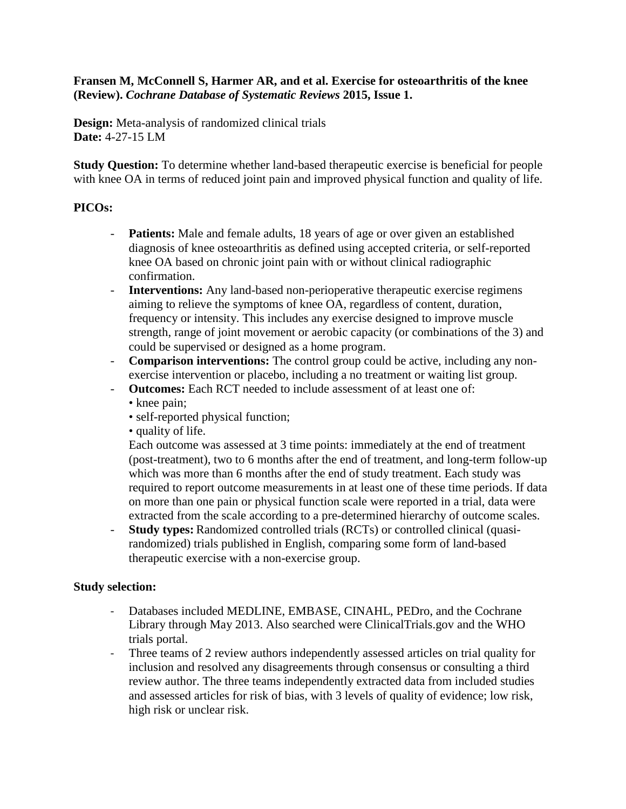## **Fransen M, McConnell S, Harmer AR, and et al. Exercise for osteoarthritis of the knee (Review).** *Cochrane Database of Systematic Reviews* **2015, Issue 1.**

**Design:** Meta-analysis of randomized clinical trials **Date:** 4-27-15 LM

**Study Question:** To determine whether land-based therapeutic exercise is beneficial for people with knee OA in terms of reduced joint pain and improved physical function and quality of life.

## **PICOs:**

- **Patients:** Male and female adults, 18 years of age or over given an established diagnosis of knee osteoarthritis as defined using accepted criteria, or self-reported knee OA based on chronic joint pain with or without clinical radiographic confirmation.
- **Interventions:** Any land-based non-perioperative therapeutic exercise regimens aiming to relieve the symptoms of knee OA, regardless of content, duration, frequency or intensity. This includes any exercise designed to improve muscle strength, range of joint movement or aerobic capacity (or combinations of the 3) and could be supervised or designed as a home program.
- **Comparison interventions:** The control group could be active, including any nonexercise intervention or placebo, including a no treatment or waiting list group.
- **Outcomes:** Each RCT needed to include assessment of at least one of: • knee pain;
	- self-reported physical function;
	- quality of life.

Each outcome was assessed at 3 time points: immediately at the end of treatment (post-treatment), two to 6 months after the end of treatment, and long-term follow-up which was more than 6 months after the end of study treatment. Each study was required to report outcome measurements in at least one of these time periods. If data on more than one pain or physical function scale were reported in a trial, data were extracted from the scale according to a pre-determined hierarchy of outcome scales.

- **Study types:** Randomized controlled trials (RCTs) or controlled clinical (quasirandomized) trials published in English, comparing some form of land-based therapeutic exercise with a non-exercise group.

#### **Study selection:**

- Databases included MEDLINE, EMBASE, CINAHL, PEDro, and the Cochrane Library through May 2013. Also searched were ClinicalTrials.gov and the WHO trials portal.
- Three teams of 2 review authors independently assessed articles on trial quality for inclusion and resolved any disagreements through consensus or consulting a third review author. The three teams independently extracted data from included studies and assessed articles for risk of bias, with 3 levels of quality of evidence; low risk, high risk or unclear risk.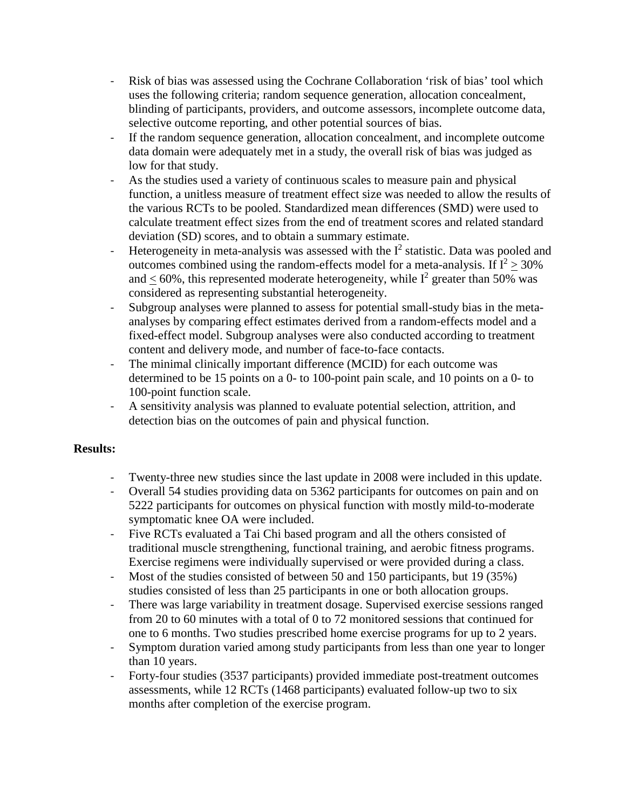- Risk of bias was assessed using the Cochrane Collaboration 'risk of bias' tool which uses the following criteria; random sequence generation, allocation concealment, blinding of participants, providers, and outcome assessors, incomplete outcome data, selective outcome reporting, and other potential sources of bias.
- If the random sequence generation, allocation concealment, and incomplete outcome data domain were adequately met in a study, the overall risk of bias was judged as low for that study.
- As the studies used a variety of continuous scales to measure pain and physical function, a unitless measure of treatment effect size was needed to allow the results of the various RCTs to be pooled. Standardized mean differences (SMD) were used to calculate treatment effect sizes from the end of treatment scores and related standard deviation (SD) scores, and to obtain a summary estimate.
- Heterogeneity in meta-analysis was assessed with the  $I^2$  statistic. Data was pooled and outcomes combined using the random-effects model for a meta-analysis. If  $I^2 > 30\%$ and  $< 60\%$ , this represented moderate heterogeneity, while  $I^2$  greater than 50% was considered as representing substantial heterogeneity.
- Subgroup analyses were planned to assess for potential small-study bias in the metaanalyses by comparing effect estimates derived from a random-effects model and a fixed-effect model. Subgroup analyses were also conducted according to treatment content and delivery mode, and number of face-to-face contacts.
- The minimal clinically important difference (MCID) for each outcome was determined to be 15 points on a 0- to 100-point pain scale, and 10 points on a 0- to 100-point function scale.
- A sensitivity analysis was planned to evaluate potential selection, attrition, and detection bias on the outcomes of pain and physical function.

# **Results:**

- Twenty-three new studies since the last update in 2008 were included in this update.
- Overall 54 studies providing data on 5362 participants for outcomes on pain and on 5222 participants for outcomes on physical function with mostly mild-to-moderate symptomatic knee OA were included.
- Five RCTs evaluated a Tai Chi based program and all the others consisted of traditional muscle strengthening, functional training, and aerobic fitness programs. Exercise regimens were individually supervised or were provided during a class.
- Most of the studies consisted of between 50 and 150 participants, but 19 (35%) studies consisted of less than 25 participants in one or both allocation groups.
- There was large variability in treatment dosage. Supervised exercise sessions ranged from 20 to 60 minutes with a total of 0 to 72 monitored sessions that continued for one to 6 months. Two studies prescribed home exercise programs for up to 2 years.
- Symptom duration varied among study participants from less than one year to longer than 10 years.
- Forty-four studies (3537 participants) provided immediate post-treatment outcomes assessments, while 12 RCTs (1468 participants) evaluated follow-up two to six months after completion of the exercise program.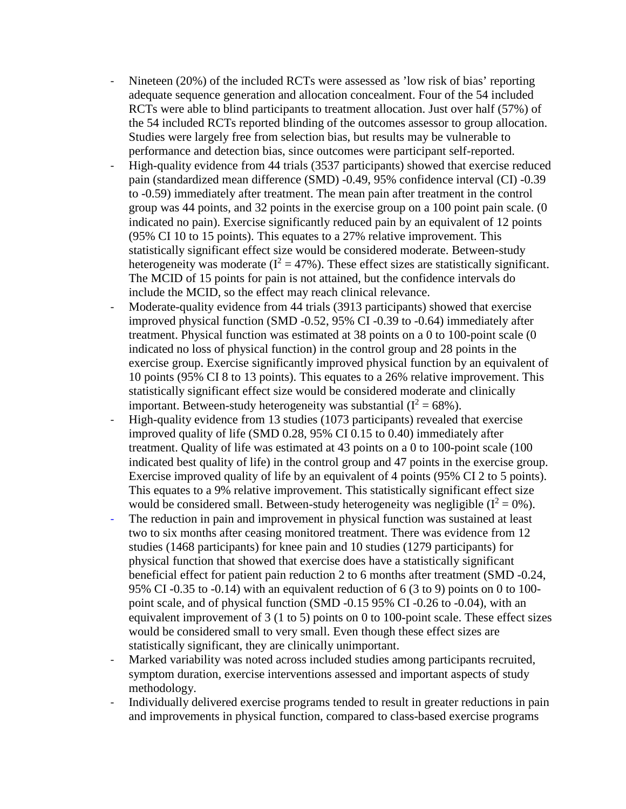- Nineteen (20%) of the included RCTs were assessed as 'low risk of bias' reporting adequate sequence generation and allocation concealment. Four of the 54 included RCTs were able to blind participants to treatment allocation. Just over half (57%) of the 54 included RCTs reported blinding of the outcomes assessor to group allocation. Studies were largely free from selection bias, but results may be vulnerable to performance and detection bias, since outcomes were participant self-reported.
- High-quality evidence from 44 trials (3537 participants) showed that exercise reduced pain (standardized mean difference (SMD) -0.49, 95% confidence interval (CI) -0.39 to -0.59) immediately after treatment. The mean pain after treatment in the control group was 44 points, and 32 points in the exercise group on a 100 point pain scale. (0 indicated no pain). Exercise significantly reduced pain by an equivalent of 12 points (95% CI 10 to 15 points). This equates to a 27% relative improvement. This statistically significant effect size would be considered moderate. Between-study heterogeneity was moderate ( $I^2 = 47\%$ ). These effect sizes are statistically significant. The MCID of 15 points for pain is not attained, but the confidence intervals do include the MCID, so the effect may reach clinical relevance.
- Moderate-quality evidence from 44 trials (3913 participants) showed that exercise improved physical function (SMD -0.52, 95% CI -0.39 to -0.64) immediately after treatment. Physical function was estimated at 38 points on a 0 to 100-point scale (0 indicated no loss of physical function) in the control group and 28 points in the exercise group. Exercise significantly improved physical function by an equivalent of 10 points (95% CI 8 to 13 points). This equates to a 26% relative improvement. This statistically significant effect size would be considered moderate and clinically important. Between-study heterogeneity was substantial  $(I^2 = 68\%)$ .
- High-quality evidence from 13 studies (1073 participants) revealed that exercise improved quality of life (SMD 0.28, 95% CI 0.15 to 0.40) immediately after treatment. Quality of life was estimated at 43 points on a 0 to 100-point scale (100 indicated best quality of life) in the control group and 47 points in the exercise group. Exercise improved quality of life by an equivalent of 4 points (95% CI 2 to 5 points). This equates to a 9% relative improvement. This statistically significant effect size would be considered small. Between-study heterogeneity was negligible  $(I^2 = 0\%)$ .
- The reduction in pain and improvement in physical function was sustained at least two to six months after ceasing monitored treatment. There was evidence from 12 studies (1468 participants) for knee pain and 10 studies (1279 participants) for physical function that showed that exercise does have a statistically significant beneficial effect for patient pain reduction 2 to 6 months after treatment (SMD -0.24, 95% CI -0.35 to -0.14) with an equivalent reduction of 6 (3 to 9) points on 0 to 100 point scale, and of physical function (SMD -0.15 95% CI -0.26 to -0.04), with an equivalent improvement of 3 (1 to 5) points on 0 to 100-point scale. These effect sizes would be considered small to very small. Even though these effect sizes are statistically significant, they are clinically unimportant.
- Marked variability was noted across included studies among participants recruited, symptom duration, exercise interventions assessed and important aspects of study methodology.
- Individually delivered exercise programs tended to result in greater reductions in pain and improvements in physical function, compared to class-based exercise programs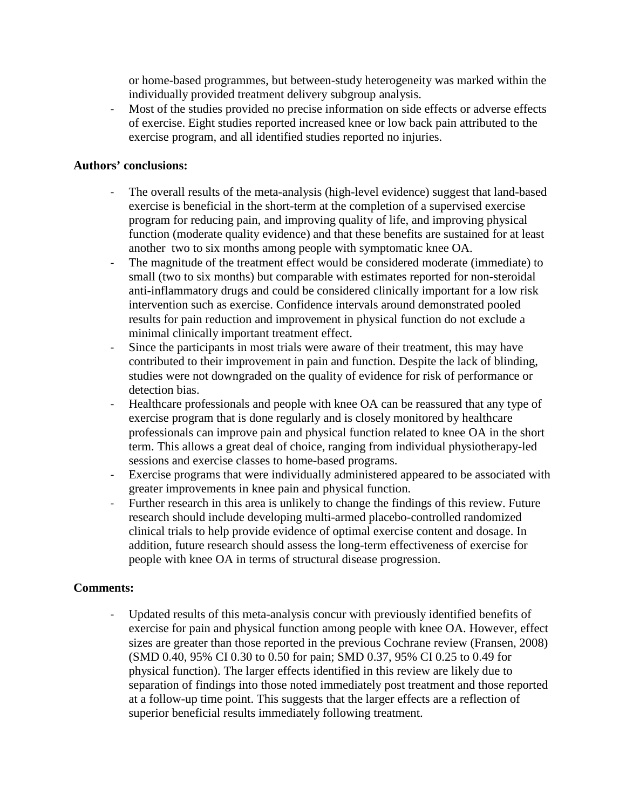or home-based programmes, but between-study heterogeneity was marked within the individually provided treatment delivery subgroup analysis.

- Most of the studies provided no precise information on side effects or adverse effects of exercise. Eight studies reported increased knee or low back pain attributed to the exercise program, and all identified studies reported no injuries.

### **Authors' conclusions:**

- The overall results of the meta-analysis (high-level evidence) suggest that land-based exercise is beneficial in the short-term at the completion of a supervised exercise program for reducing pain, and improving quality of life, and improving physical function (moderate quality evidence) and that these benefits are sustained for at least another two to six months among people with symptomatic knee OA.
- The magnitude of the treatment effect would be considered moderate (immediate) to small (two to six months) but comparable with estimates reported for non-steroidal anti-inflammatory drugs and could be considered clinically important for a low risk intervention such as exercise. Confidence intervals around demonstrated pooled results for pain reduction and improvement in physical function do not exclude a minimal clinically important treatment effect.
- Since the participants in most trials were aware of their treatment, this may have contributed to their improvement in pain and function. Despite the lack of blinding, studies were not downgraded on the quality of evidence for risk of performance or detection bias.
- Healthcare professionals and people with knee OA can be reassured that any type of exercise program that is done regularly and is closely monitored by healthcare professionals can improve pain and physical function related to knee OA in the short term. This allows a great deal of choice, ranging from individual physiotherapy-led sessions and exercise classes to home-based programs.
- Exercise programs that were individually administered appeared to be associated with greater improvements in knee pain and physical function.
- Further research in this area is unlikely to change the findings of this review. Future research should include developing multi-armed placebo-controlled randomized clinical trials to help provide evidence of optimal exercise content and dosage. In addition, future research should assess the long-term effectiveness of exercise for people with knee OA in terms of structural disease progression.

# **Comments:**

Updated results of this meta-analysis concur with previously identified benefits of exercise for pain and physical function among people with knee OA. However, effect sizes are greater than those reported in the previous Cochrane review (Fransen, 2008) (SMD 0.40, 95% CI 0.30 to 0.50 for pain; SMD 0.37, 95% CI 0.25 to 0.49 for physical function). The larger effects identified in this review are likely due to separation of findings into those noted immediately post treatment and those reported at a follow-up time point. This suggests that the larger effects are a reflection of superior beneficial results immediately following treatment.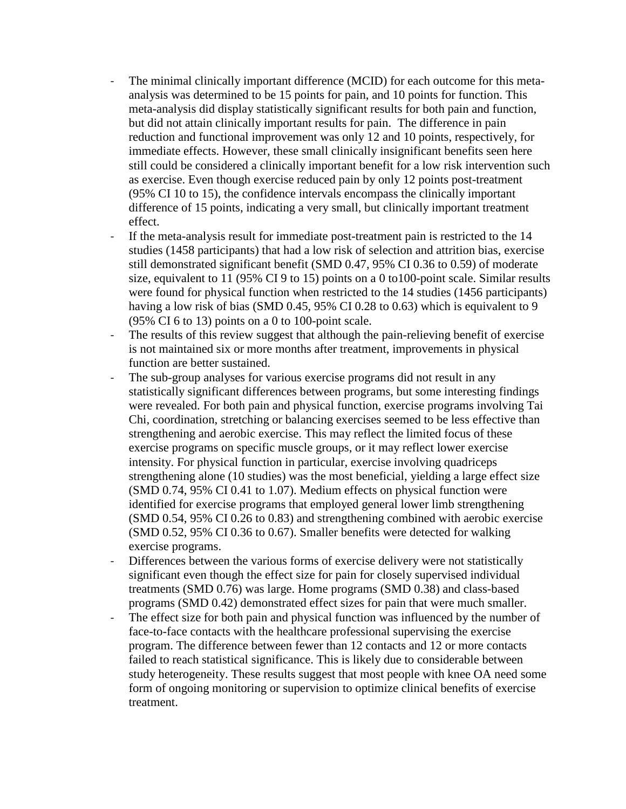- The minimal clinically important difference (MCID) for each outcome for this metaanalysis was determined to be 15 points for pain, and 10 points for function. This meta-analysis did display statistically significant results for both pain and function, but did not attain clinically important results for pain. The difference in pain reduction and functional improvement was only 12 and 10 points, respectively, for immediate effects. However, these small clinically insignificant benefits seen here still could be considered a clinically important benefit for a low risk intervention such as exercise. Even though exercise reduced pain by only 12 points post-treatment (95% CI 10 to 15), the confidence intervals encompass the clinically important difference of 15 points, indicating a very small, but clinically important treatment effect.
- If the meta-analysis result for immediate post-treatment pain is restricted to the 14 studies (1458 participants) that had a low risk of selection and attrition bias, exercise still demonstrated significant benefit (SMD 0.47, 95% CI 0.36 to 0.59) of moderate size, equivalent to 11 (95% CI 9 to 15) points on a 0 to100-point scale. Similar results were found for physical function when restricted to the 14 studies (1456 participants) having a low risk of bias (SMD 0.45, 95% CI 0.28 to 0.63) which is equivalent to 9  $(95\% \text{ CI } 6 \text{ to } 13) \text{ points on a 0 to } 100 \text{-point scale.}$
- The results of this review suggest that although the pain-relieving benefit of exercise is not maintained six or more months after treatment, improvements in physical function are better sustained.
- The sub-group analyses for various exercise programs did not result in any statistically significant differences between programs, but some interesting findings were revealed. For both pain and physical function, exercise programs involving Tai Chi, coordination, stretching or balancing exercises seemed to be less effective than strengthening and aerobic exercise. This may reflect the limited focus of these exercise programs on specific muscle groups, or it may reflect lower exercise intensity. For physical function in particular, exercise involving quadriceps strengthening alone (10 studies) was the most beneficial, yielding a large effect size (SMD 0.74, 95% CI 0.41 to 1.07). Medium effects on physical function were identified for exercise programs that employed general lower limb strengthening (SMD 0.54, 95% CI 0.26 to 0.83) and strengthening combined with aerobic exercise (SMD 0.52, 95% CI 0.36 to 0.67). Smaller benefits were detected for walking exercise programs.
- Differences between the various forms of exercise delivery were not statistically significant even though the effect size for pain for closely supervised individual treatments (SMD 0.76) was large. Home programs (SMD 0.38) and class-based programs (SMD 0.42) demonstrated effect sizes for pain that were much smaller.
- The effect size for both pain and physical function was influenced by the number of face-to-face contacts with the healthcare professional supervising the exercise program. The difference between fewer than 12 contacts and 12 or more contacts failed to reach statistical significance. This is likely due to considerable between study heterogeneity. These results suggest that most people with knee OA need some form of ongoing monitoring or supervision to optimize clinical benefits of exercise treatment.